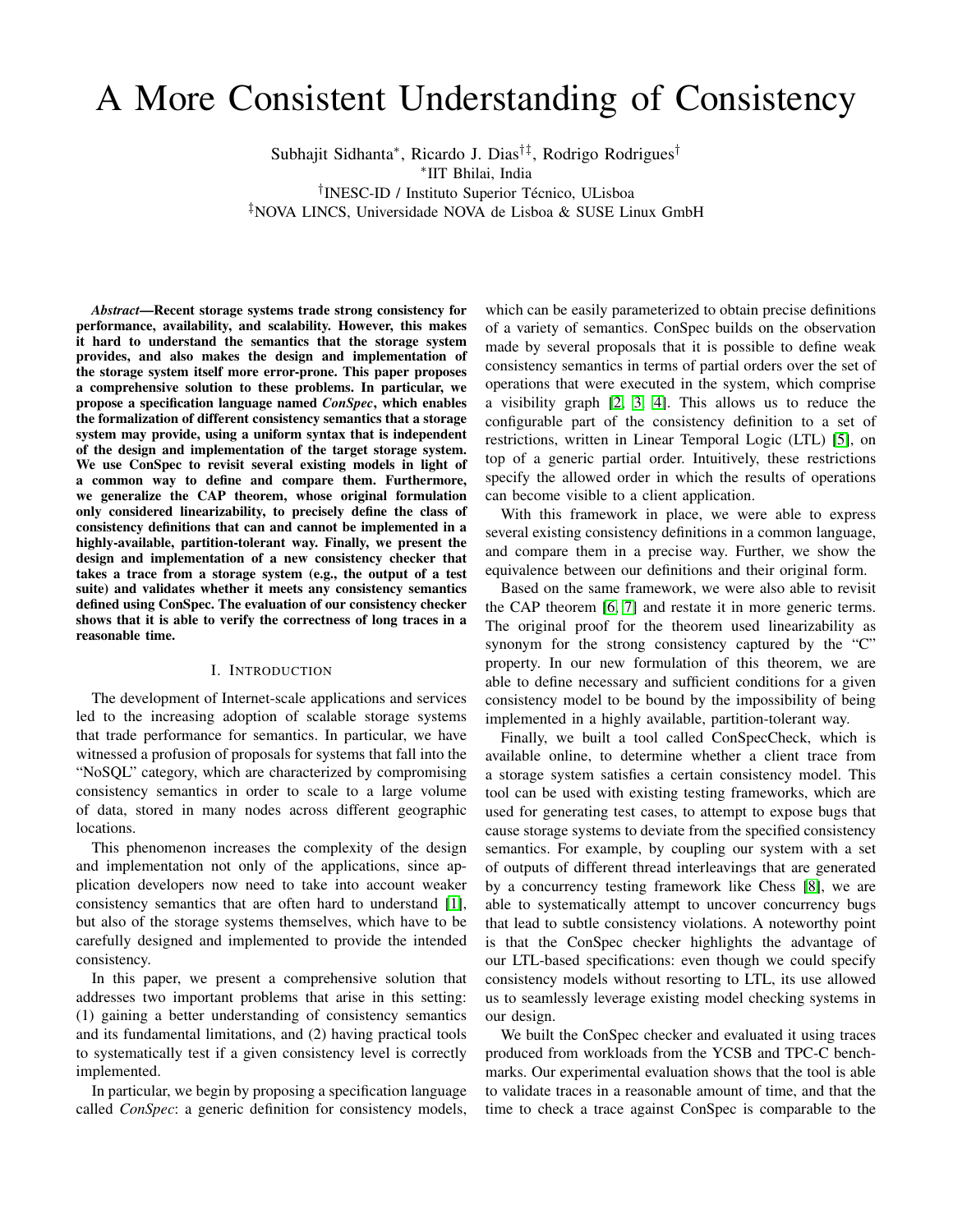# A More Consistent Understanding of Consistency

Subhajit Sidhanta<sup>∗</sup> , Ricardo J. Dias†‡, Rodrigo Rodrigues† ∗ IIT Bhilai, India † INESC-ID / Instituto Superior Técnico, ULisboa

‡NOVA LINCS, Universidade NOVA de Lisboa & SUSE Linux GmbH

*Abstract*—Recent storage systems trade strong consistency for performance, availability, and scalability. However, this makes it hard to understand the semantics that the storage system provides, and also makes the design and implementation of the storage system itself more error-prone. This paper proposes a comprehensive solution to these problems. In particular, we propose a specification language named *ConSpec*, which enables the formalization of different consistency semantics that a storage system may provide, using a uniform syntax that is independent of the design and implementation of the target storage system. We use ConSpec to revisit several existing models in light of a common way to define and compare them. Furthermore, we generalize the CAP theorem, whose original formulation only considered linearizability, to precisely define the class of consistency definitions that can and cannot be implemented in a highly-available, partition-tolerant way. Finally, we present the design and implementation of a new consistency checker that takes a trace from a storage system (e.g., the output of a test suite) and validates whether it meets any consistency semantics defined using ConSpec. The evaluation of our consistency checker shows that it is able to verify the correctness of long traces in a reasonable time.

## I. INTRODUCTION

The development of Internet-scale applications and services led to the increasing adoption of scalable storage systems that trade performance for semantics. In particular, we have witnessed a profusion of proposals for systems that fall into the "NoSQL" category, which are characterized by compromising consistency semantics in order to scale to a large volume of data, stored in many nodes across different geographic locations.

This phenomenon increases the complexity of the design and implementation not only of the applications, since application developers now need to take into account weaker consistency semantics that are often hard to understand [\[1\]](#page-8-0), but also of the storage systems themselves, which have to be carefully designed and implemented to provide the intended consistency.

In this paper, we present a comprehensive solution that addresses two important problems that arise in this setting: (1) gaining a better understanding of consistency semantics and its fundamental limitations, and (2) having practical tools to systematically test if a given consistency level is correctly implemented.

In particular, we begin by proposing a specification language called *ConSpec*: a generic definition for consistency models,

which can be easily parameterized to obtain precise definitions of a variety of semantics. ConSpec builds on the observation made by several proposals that it is possible to define weak consistency semantics in terms of partial orders over the set of operations that were executed in the system, which comprise a visibility graph [\[2,](#page-8-1) [3,](#page-8-2) [4\]](#page-9-0). This allows us to reduce the configurable part of the consistency definition to a set of restrictions, written in Linear Temporal Logic (LTL) [\[5\]](#page-9-1), on top of a generic partial order. Intuitively, these restrictions specify the allowed order in which the results of operations can become visible to a client application.

With this framework in place, we were able to express several existing consistency definitions in a common language, and compare them in a precise way. Further, we show the equivalence between our definitions and their original form.

Based on the same framework, we were also able to revisit the CAP theorem [\[6,](#page-9-2) [7\]](#page-9-3) and restate it in more generic terms. The original proof for the theorem used linearizability as synonym for the strong consistency captured by the "C" property. In our new formulation of this theorem, we are able to define necessary and sufficient conditions for a given consistency model to be bound by the impossibility of being implemented in a highly available, partition-tolerant way.

Finally, we built a tool called ConSpecCheck, which is available online, to determine whether a client trace from a storage system satisfies a certain consistency model. This tool can be used with existing testing frameworks, which are used for generating test cases, to attempt to expose bugs that cause storage systems to deviate from the specified consistency semantics. For example, by coupling our system with a set of outputs of different thread interleavings that are generated by a concurrency testing framework like Chess [\[8\]](#page-9-4), we are able to systematically attempt to uncover concurrency bugs that lead to subtle consistency violations. A noteworthy point is that the ConSpec checker highlights the advantage of our LTL-based specifications: even though we could specify consistency models without resorting to LTL, its use allowed us to seamlessly leverage existing model checking systems in our design.

We built the ConSpec checker and evaluated it using traces produced from workloads from the YCSB and TPC-C benchmarks. Our experimental evaluation shows that the tool is able to validate traces in a reasonable amount of time, and that the time to check a trace against ConSpec is comparable to the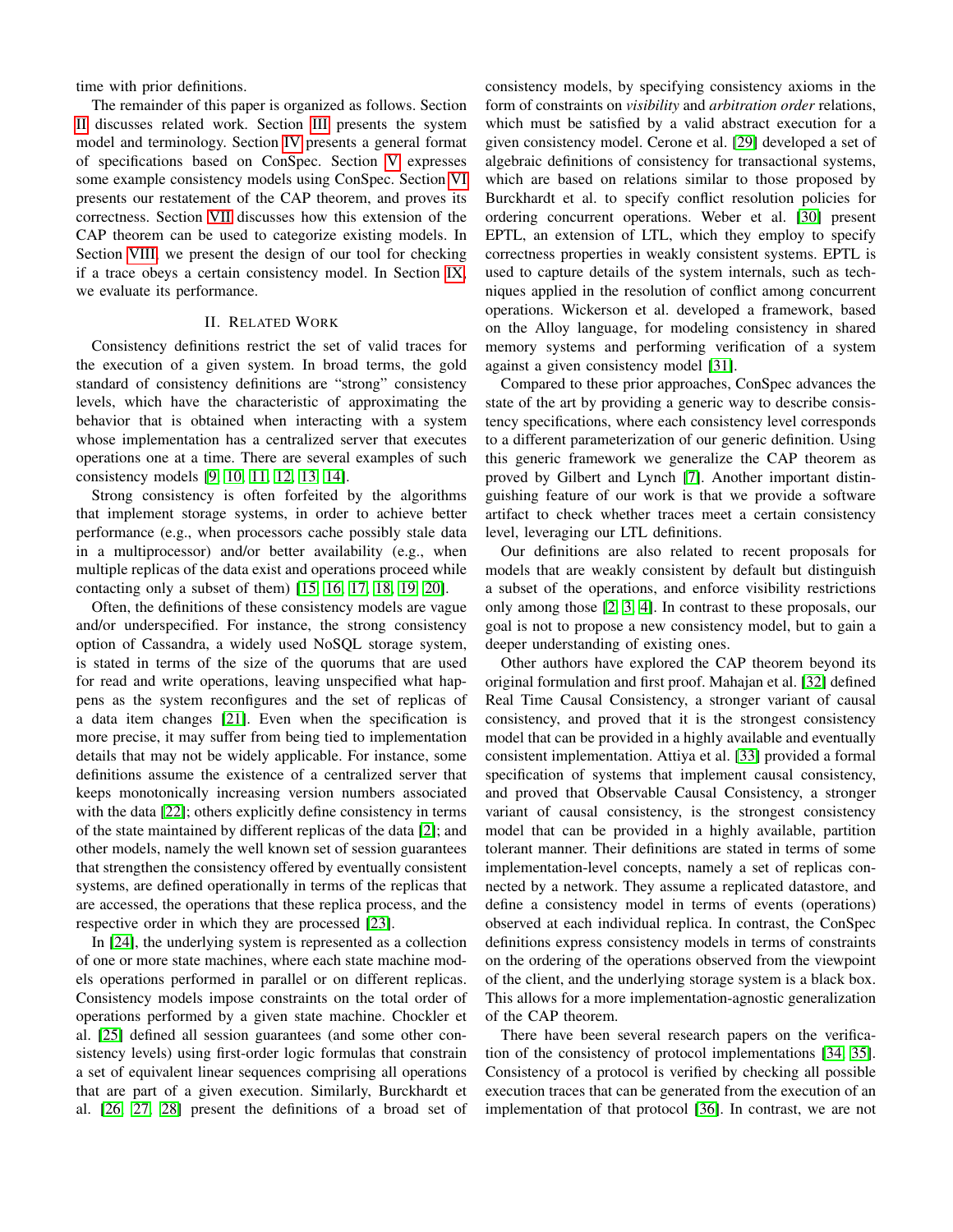time with prior definitions.

The remainder of this paper is organized as follows. Section [II](#page-1-0) discusses related work. Section [III](#page-2-0) presents the system model and terminology. Section [IV](#page-2-1) presents a general format of specifications based on ConSpec. Section [V](#page-3-0) expresses some example consistency models using ConSpec. Section [VI](#page-4-0) presents our restatement of the CAP theorem, and proves its correctness. Section [VII](#page-5-0) discusses how this extension of the CAP theorem can be used to categorize existing models. In Section [VIII,](#page-6-0) we present the design of our tool for checking if a trace obeys a certain consistency model. In Section [IX,](#page-6-1) we evaluate its performance.

## II. RELATED WORK

<span id="page-1-0"></span>Consistency definitions restrict the set of valid traces for the execution of a given system. In broad terms, the gold standard of consistency definitions are "strong" consistency levels, which have the characteristic of approximating the behavior that is obtained when interacting with a system whose implementation has a centralized server that executes operations one at a time. There are several examples of such consistency models [\[9,](#page-9-5) [10,](#page-9-6) [11,](#page-9-7) [12,](#page-9-8) [13,](#page-9-9) [14\]](#page-9-10).

Strong consistency is often forfeited by the algorithms that implement storage systems, in order to achieve better performance (e.g., when processors cache possibly stale data in a multiprocessor) and/or better availability (e.g., when multiple replicas of the data exist and operations proceed while contacting only a subset of them) [\[15,](#page-9-11) [16,](#page-9-12) [17,](#page-9-13) [18,](#page-9-14) [19,](#page-9-15) [20\]](#page-9-16).

Often, the definitions of these consistency models are vague and/or underspecified. For instance, the strong consistency option of Cassandra, a widely used NoSQL storage system, is stated in terms of the size of the quorums that are used for read and write operations, leaving unspecified what happens as the system reconfigures and the set of replicas of a data item changes [\[21\]](#page-9-17). Even when the specification is more precise, it may suffer from being tied to implementation details that may not be widely applicable. For instance, some definitions assume the existence of a centralized server that keeps monotonically increasing version numbers associated with the data [\[22\]](#page-9-18); others explicitly define consistency in terms of the state maintained by different replicas of the data [\[2\]](#page-8-1); and other models, namely the well known set of session guarantees that strengthen the consistency offered by eventually consistent systems, are defined operationally in terms of the replicas that are accessed, the operations that these replica process, and the respective order in which they are processed [\[23\]](#page-9-19).

In [\[24\]](#page-9-20), the underlying system is represented as a collection of one or more state machines, where each state machine models operations performed in parallel or on different replicas. Consistency models impose constraints on the total order of operations performed by a given state machine. Chockler et al. [\[25\]](#page-9-21) defined all session guarantees (and some other consistency levels) using first-order logic formulas that constrain a set of equivalent linear sequences comprising all operations that are part of a given execution. Similarly, Burckhardt et al. [\[26,](#page-9-22) [27,](#page-9-23) [28\]](#page-9-24) present the definitions of a broad set of

consistency models, by specifying consistency axioms in the form of constraints on *visibility* and *arbitration order* relations, which must be satisfied by a valid abstract execution for a given consistency model. Cerone et al. [\[29\]](#page-9-25) developed a set of algebraic definitions of consistency for transactional systems, which are based on relations similar to those proposed by Burckhardt et al. to specify conflict resolution policies for ordering concurrent operations. Weber et al. [\[30\]](#page-9-26) present EPTL, an extension of LTL, which they employ to specify correctness properties in weakly consistent systems. EPTL is used to capture details of the system internals, such as techniques applied in the resolution of conflict among concurrent operations. Wickerson et al. developed a framework, based on the Alloy language, for modeling consistency in shared memory systems and performing verification of a system against a given consistency model [\[31\]](#page-9-27).

Compared to these prior approaches, ConSpec advances the state of the art by providing a generic way to describe consistency specifications, where each consistency level corresponds to a different parameterization of our generic definition. Using this generic framework we generalize the CAP theorem as proved by Gilbert and Lynch [\[7\]](#page-9-3). Another important distinguishing feature of our work is that we provide a software artifact to check whether traces meet a certain consistency level, leveraging our LTL definitions.

Our definitions are also related to recent proposals for models that are weakly consistent by default but distinguish a subset of the operations, and enforce visibility restrictions only among those [\[2,](#page-8-1) [3,](#page-8-2) [4\]](#page-9-0). In contrast to these proposals, our goal is not to propose a new consistency model, but to gain a deeper understanding of existing ones.

Other authors have explored the CAP theorem beyond its original formulation and first proof. Mahajan et al. [\[32\]](#page-9-28) defined Real Time Causal Consistency, a stronger variant of causal consistency, and proved that it is the strongest consistency model that can be provided in a highly available and eventually consistent implementation. Attiya et al. [\[33\]](#page-9-29) provided a formal specification of systems that implement causal consistency, and proved that Observable Causal Consistency, a stronger variant of causal consistency, is the strongest consistency model that can be provided in a highly available, partition tolerant manner. Their definitions are stated in terms of some implementation-level concepts, namely a set of replicas connected by a network. They assume a replicated datastore, and define a consistency model in terms of events (operations) observed at each individual replica. In contrast, the ConSpec definitions express consistency models in terms of constraints on the ordering of the operations observed from the viewpoint of the client, and the underlying storage system is a black box. This allows for a more implementation-agnostic generalization of the CAP theorem.

There have been several research papers on the verification of the consistency of protocol implementations [\[34,](#page-9-30) [35\]](#page-9-31). Consistency of a protocol is verified by checking all possible execution traces that can be generated from the execution of an implementation of that protocol [\[36\]](#page-9-32). In contrast, we are not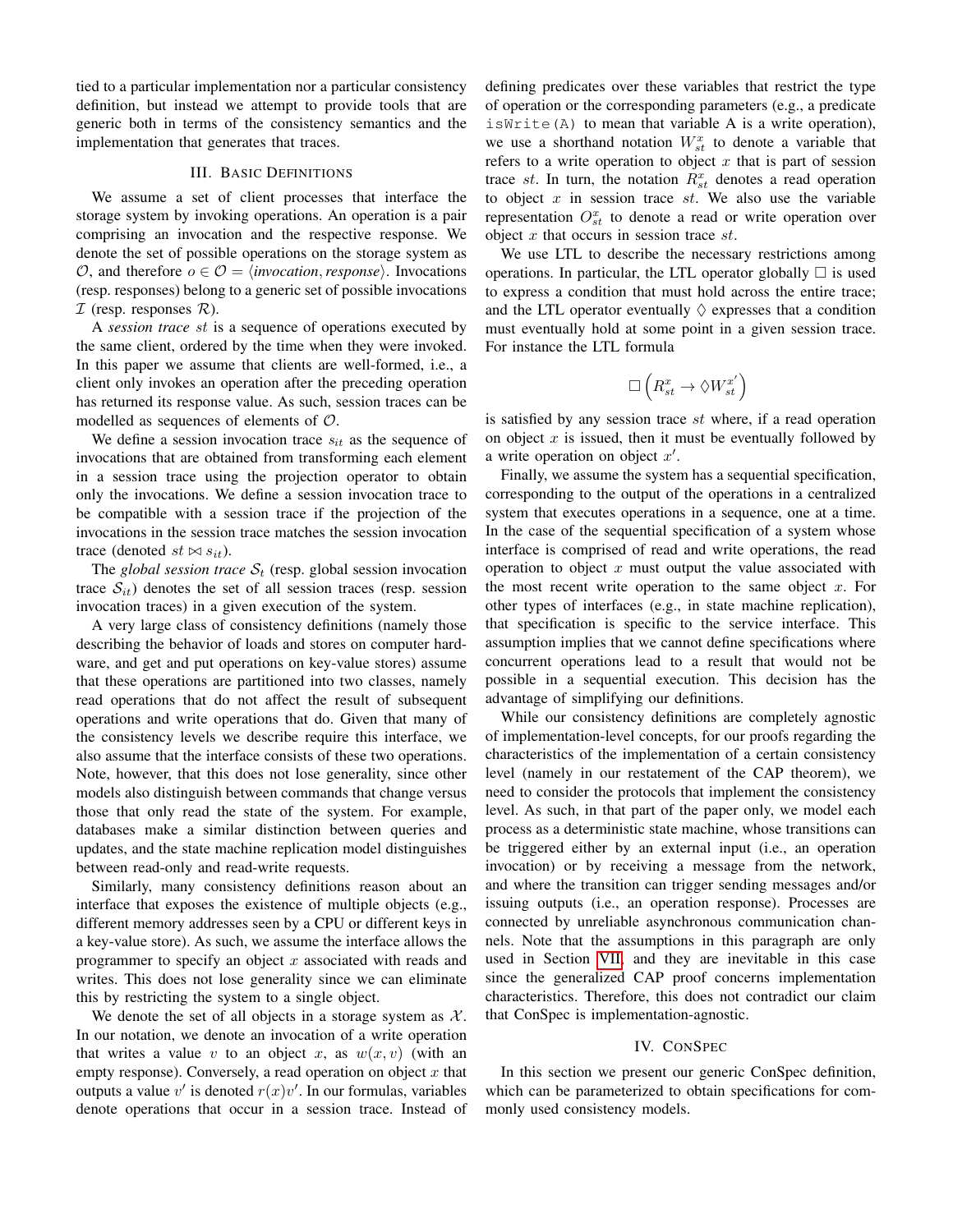tied to a particular implementation nor a particular consistency definition, but instead we attempt to provide tools that are generic both in terms of the consistency semantics and the implementation that generates that traces.

## III. BASIC DEFINITIONS

<span id="page-2-0"></span>We assume a set of client processes that interface the storage system by invoking operations. An operation is a pair comprising an invocation and the respective response. We denote the set of possible operations on the storage system as  $\mathcal{O}$ , and therefore  $o \in \mathcal{O} = \langle$ *invocation*, *response* $\rangle$ . Invocations (resp. responses) belong to a generic set of possible invocations  $\mathcal I$  (resp. responses  $\mathcal R$ ).

A *session trace* st is a sequence of operations executed by the same client, ordered by the time when they were invoked. In this paper we assume that clients are well-formed, i.e., a client only invokes an operation after the preceding operation has returned its response value. As such, session traces can be modelled as sequences of elements of O.

We define a session invocation trace  $s_{it}$  as the sequence of invocations that are obtained from transforming each element in a session trace using the projection operator to obtain only the invocations. We define a session invocation trace to be compatible with a session trace if the projection of the invocations in the session trace matches the session invocation trace (denoted  $st \bowtie s_{it}$ ).

The *global session trace*  $S_t$  (resp. global session invocation trace  $S_{it}$ ) denotes the set of all session traces (resp. session invocation traces) in a given execution of the system.

A very large class of consistency definitions (namely those describing the behavior of loads and stores on computer hardware, and get and put operations on key-value stores) assume that these operations are partitioned into two classes, namely read operations that do not affect the result of subsequent operations and write operations that do. Given that many of the consistency levels we describe require this interface, we also assume that the interface consists of these two operations. Note, however, that this does not lose generality, since other models also distinguish between commands that change versus those that only read the state of the system. For example, databases make a similar distinction between queries and updates, and the state machine replication model distinguishes between read-only and read-write requests.

Similarly, many consistency definitions reason about an interface that exposes the existence of multiple objects (e.g., different memory addresses seen by a CPU or different keys in a key-value store). As such, we assume the interface allows the programmer to specify an object  $x$  associated with reads and writes. This does not lose generality since we can eliminate this by restricting the system to a single object.

We denote the set of all objects in a storage system as  $X$ . In our notation, we denote an invocation of a write operation that writes a value v to an object x, as  $w(x, v)$  (with an empty response). Conversely, a read operation on object x that outputs a value  $v'$  is denoted  $r(x)v'$ . In our formulas, variables denote operations that occur in a session trace. Instead of defining predicates over these variables that restrict the type of operation or the corresponding parameters (e.g., a predicate  $i$ sWrite(A) to mean that variable A is a write operation), we use a shorthand notation  $W_{st}^x$  to denote a variable that refers to a write operation to object  $x$  that is part of session trace st. In turn, the notation  $R_{st}^x$  denotes a read operation to object  $x$  in session trace  $st$ . We also use the variable representation  $O_{st}^x$  to denote a read or write operation over object  $x$  that occurs in session trace  $st$ .

We use LTL to describe the necessary restrictions among operations. In particular, the LTL operator globally  $\Box$  is used to express a condition that must hold across the entire trace; and the LTL operator eventually  $\Diamond$  expresses that a condition must eventually hold at some point in a given session trace. For instance the LTL formula

$$
\Box \left(R_{st}^x \rightarrow \Diamond W_{st}^{x'}\right)
$$

is satisfied by any session trace  $st$  where, if a read operation on object  $x$  is issued, then it must be eventually followed by a write operation on object  $x'$ .

Finally, we assume the system has a sequential specification, corresponding to the output of the operations in a centralized system that executes operations in a sequence, one at a time. In the case of the sequential specification of a system whose interface is comprised of read and write operations, the read operation to object  $x$  must output the value associated with the most recent write operation to the same object  $x$ . For other types of interfaces (e.g., in state machine replication), that specification is specific to the service interface. This assumption implies that we cannot define specifications where concurrent operations lead to a result that would not be possible in a sequential execution. This decision has the advantage of simplifying our definitions.

While our consistency definitions are completely agnostic of implementation-level concepts, for our proofs regarding the characteristics of the implementation of a certain consistency level (namely in our restatement of the CAP theorem), we need to consider the protocols that implement the consistency level. As such, in that part of the paper only, we model each process as a deterministic state machine, whose transitions can be triggered either by an external input (i.e., an operation invocation) or by receiving a message from the network, and where the transition can trigger sending messages and/or issuing outputs (i.e., an operation response). Processes are connected by unreliable asynchronous communication channels. Note that the assumptions in this paragraph are only used in Section [VII,](#page-5-0) and they are inevitable in this case since the generalized CAP proof concerns implementation characteristics. Therefore, this does not contradict our claim that ConSpec is implementation-agnostic.

#### IV. CONSPEC

<span id="page-2-1"></span>In this section we present our generic ConSpec definition, which can be parameterized to obtain specifications for commonly used consistency models.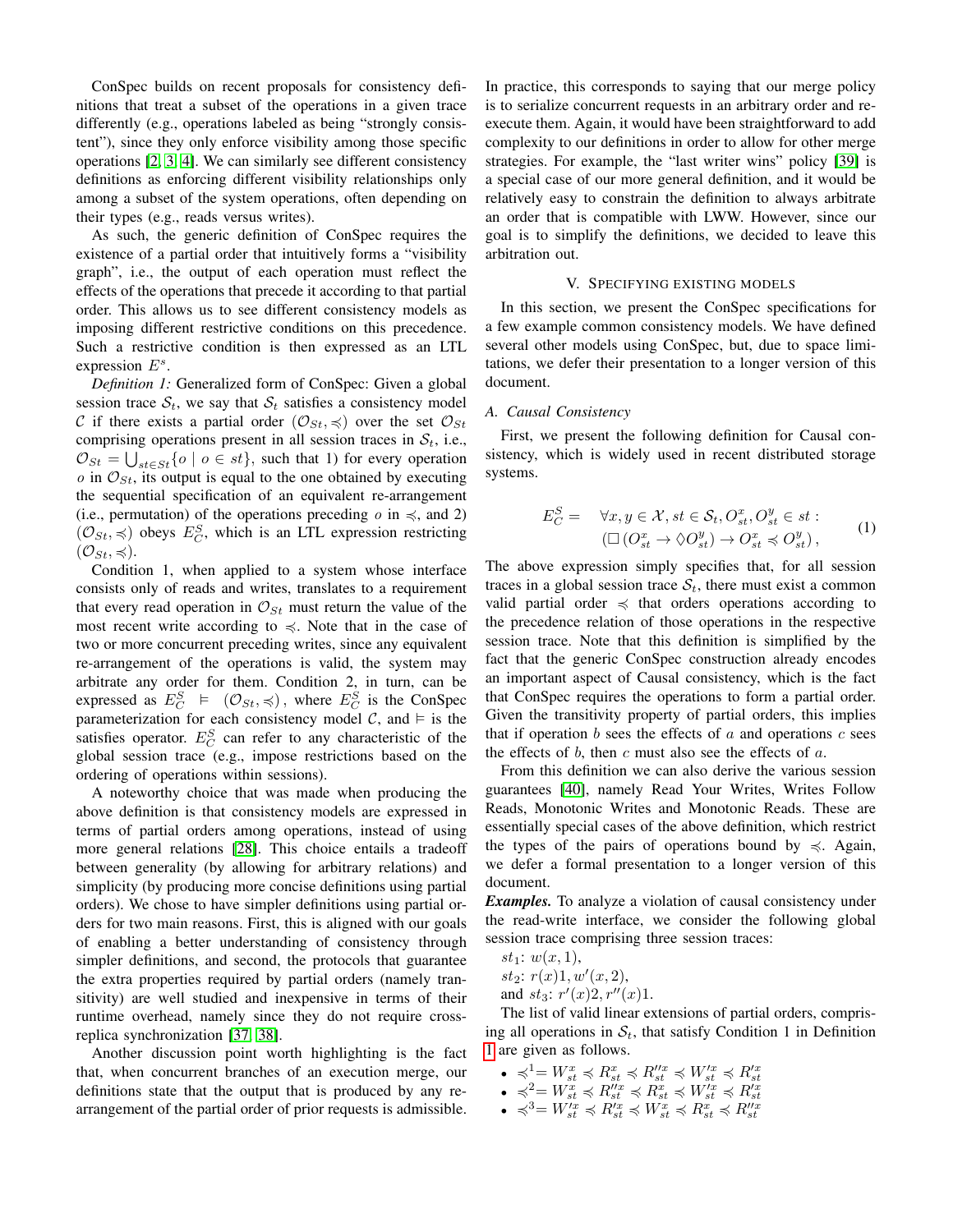ConSpec builds on recent proposals for consistency definitions that treat a subset of the operations in a given trace differently (e.g., operations labeled as being "strongly consistent"), since they only enforce visibility among those specific operations [\[2,](#page-8-1) [3,](#page-8-2) [4\]](#page-9-0). We can similarly see different consistency definitions as enforcing different visibility relationships only among a subset of the system operations, often depending on their types (e.g., reads versus writes).

As such, the generic definition of ConSpec requires the existence of a partial order that intuitively forms a "visibility graph", i.e., the output of each operation must reflect the effects of the operations that precede it according to that partial order. This allows us to see different consistency models as imposing different restrictive conditions on this precedence. Such a restrictive condition is then expressed as an LTL expression  $E^s$ .

<span id="page-3-1"></span>*Definition 1:* Generalized form of ConSpec: Given a global session trace  $S_t$ , we say that  $S_t$  satisfies a consistency model C if there exists a partial order  $(\mathcal{O}_{St}, \preccurlyeq)$  over the set  $\mathcal{O}_{St}$ comprising operations present in all session traces in  $S_t$ , i.e.,  $\mathcal{O}_{St} = \bigcup_{st \in St} \{o \mid o \in st\}$ , such that 1) for every operation  $o$  in  $\mathcal{O}_{St}$ , its output is equal to the one obtained by executing the sequential specification of an equivalent re-arrangement (i.e., permutation) of the operations preceding  $o$  in  $\preccurlyeq$ , and 2)  $(\mathcal{O}_{St}, \preccurlyeq)$  obeys  $E_C^S$ , which is an LTL expression restricting  $(\mathcal{O}_{St}, \preccurlyeq).$ 

Condition 1, when applied to a system whose interface consists only of reads and writes, translates to a requirement that every read operation in  $\mathcal{O}_{St}$  must return the value of the most recent write according to  $\leq$ . Note that in the case of two or more concurrent preceding writes, since any equivalent re-arrangement of the operations is valid, the system may arbitrate any order for them. Condition 2, in turn, can be expressed as  $E_C^S \models (\mathcal{O}_{St}, \preccurlyeq)$ , where  $E_C^S$  is the ConSpec parameterization for each consistency model C, and  $\models$  is the satisfies operator.  $E_C^S$  can refer to any characteristic of the global session trace (e.g., impose restrictions based on the ordering of operations within sessions).

A noteworthy choice that was made when producing the above definition is that consistency models are expressed in terms of partial orders among operations, instead of using more general relations [\[28\]](#page-9-24). This choice entails a tradeoff between generality (by allowing for arbitrary relations) and simplicity (by producing more concise definitions using partial orders). We chose to have simpler definitions using partial orders for two main reasons. First, this is aligned with our goals of enabling a better understanding of consistency through simpler definitions, and second, the protocols that guarantee the extra properties required by partial orders (namely transitivity) are well studied and inexpensive in terms of their runtime overhead, namely since they do not require crossreplica synchronization [\[37,](#page-9-33) [38\]](#page-9-34).

Another discussion point worth highlighting is the fact that, when concurrent branches of an execution merge, our definitions state that the output that is produced by any rearrangement of the partial order of prior requests is admissible. In practice, this corresponds to saying that our merge policy is to serialize concurrent requests in an arbitrary order and reexecute them. Again, it would have been straightforward to add complexity to our definitions in order to allow for other merge strategies. For example, the "last writer wins" policy [\[39\]](#page-9-35) is a special case of our more general definition, and it would be relatively easy to constrain the definition to always arbitrate an order that is compatible with LWW. However, since our goal is to simplify the definitions, we decided to leave this arbitration out.

## V. SPECIFYING EXISTING MODELS

<span id="page-3-0"></span>In this section, we present the ConSpec specifications for a few example common consistency models. We have defined several other models using ConSpec, but, due to space limitations, we defer their presentation to a longer version of this document.

## *A. Causal Consistency*

First, we present the following definition for Causal consistency, which is widely used in recent distributed storage systems.

<span id="page-3-2"></span>
$$
E_C^S = \forall x, y \in \mathcal{X}, st \in \mathcal{S}_t, O_{st}^x, O_{st}^y \in st : (\Box (O_{st}^x \to \Diamond O_{st}^y) \to O_{st}^x \preccurlyeq O_{st}^y),
$$
(1)

The above expression simply specifies that, for all session traces in a global session trace  $S_t$ , there must exist a common valid partial order  $\preccurlyeq$  that orders operations according to the precedence relation of those operations in the respective session trace. Note that this definition is simplified by the fact that the generic ConSpec construction already encodes an important aspect of Causal consistency, which is the fact that ConSpec requires the operations to form a partial order. Given the transitivity property of partial orders, this implies that if operation  $b$  sees the effects of  $a$  and operations  $c$  sees the effects of  $b$ , then  $c$  must also see the effects of  $a$ .

From this definition we can also derive the various session guarantees [\[40\]](#page-9-36), namely Read Your Writes, Writes Follow Reads, Monotonic Writes and Monotonic Reads. These are essentially special cases of the above definition, which restrict the types of the pairs of operations bound by  $\leq$ . Again, we defer a formal presentation to a longer version of this document.

*Examples.* To analyze a violation of causal consistency under the read-write interface, we consider the following global session trace comprising three session traces:

$$
st_1: w(x, 1),\nst_2: r(x)1, w'(x, 2),\nand st_3: r'(x)2, r''(x)1.
$$

The list of valid linear extensions of partial orders, comprising all operations in  $S_t$ , that satisfy Condition 1 in Definition [1](#page-3-1) are given as follows.

- 
- $\begin{array}{c} \bullet \preccurlyeq^1 = W_{st}^x \preccurlyeq R_{st}^y \preccurlyeq R_{st}^{\prime\prime x} \preccurlyeq W_{st}^{\prime\prime x} \preccurlyeq R_{st}^{\prime\prime x} \\ \bullet \preccurlyeq^2 = W_{st}^x \preccurlyeq R_{st}^{\prime\prime x} \preccurlyeq R_{st}^{\prime\prime x} \preccurlyeq R_{st}^{\prime\prime x} \\ \bullet \preccurlyeq^3 = W_{st}^{\prime\prime x} \preccurlyeq R_{st}^{\prime\prime x} \preccurlyeq R_{st}^{\prime\prime x} \preccurlyeq R$
-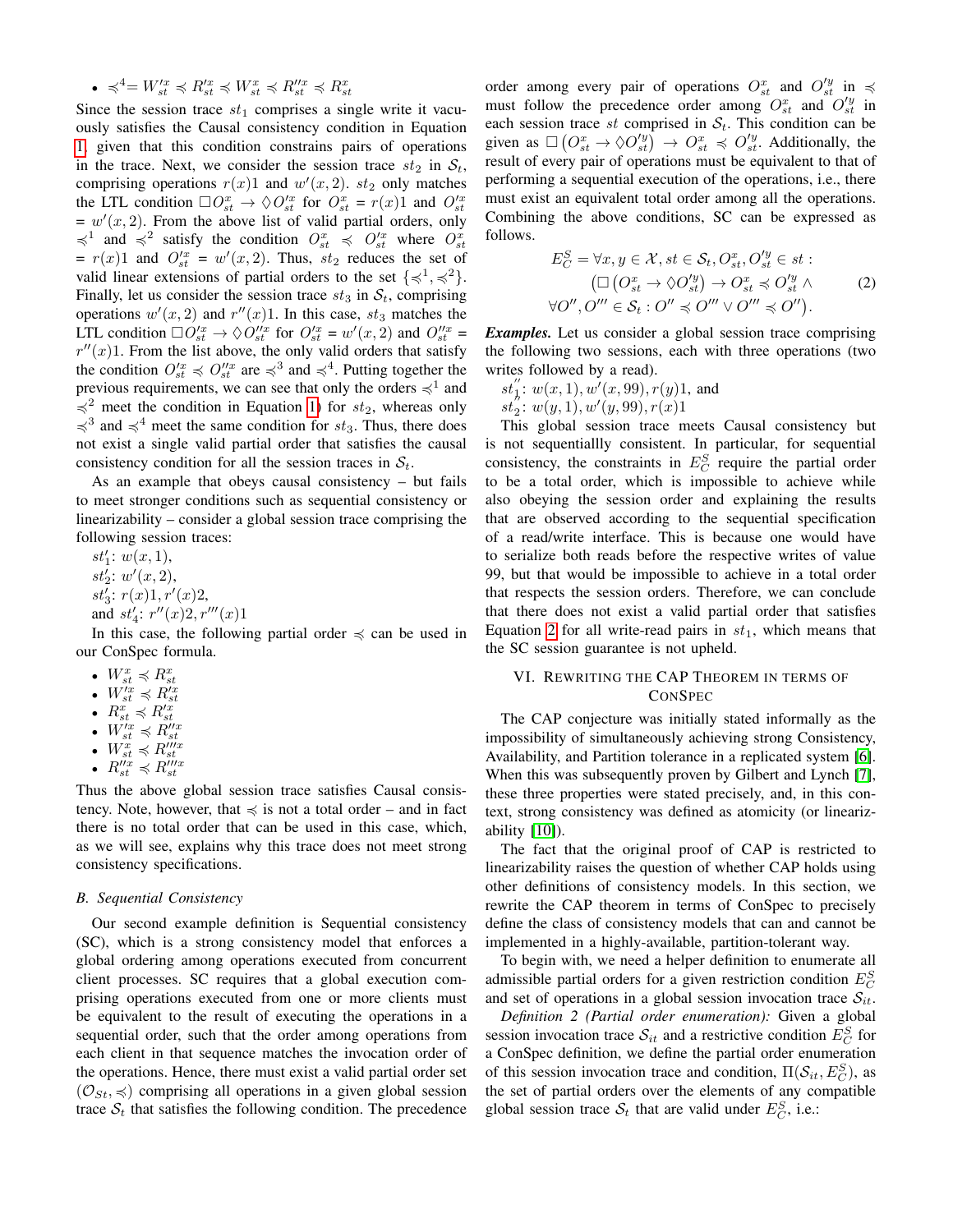•  $\preccurlyeq^4 = W_{st}^{\prime x} \preccurlyeq R_{st}^{\prime x} \preccurlyeq W_{st}^x \preccurlyeq R_{st}^{\prime x} \preccurlyeq R_{st}^x$ 

Since the session trace  $st_1$  comprises a single write it vacuously satisfies the Causal consistency condition in Equation [1,](#page-3-2) given that this condition constrains pairs of operations in the trace. Next, we consider the session trace  $st_2$  in  $S_t$ , comprising operations  $r(x)1$  and  $w'(x, 2)$ .  $st_2$  only matches the LTL condition  $\Box O_{st}^x \rightarrow \Diamond O_{st}^{\prime x}$  for  $O_{st}^x = r(x)1$  and  $O_{st}^{\prime x}$  $= w'(x, 2)$ . From the above list of valid partial orders, only  $\preccurlyeq^1$  and  $\preccurlyeq^2$  satisfy the condition  $O_{st}^x \preccurlyeq O_{st}^x$  where  $O_{st}^x$  $= r(x)1$  and  $O_{st}^{tx} = w'(x, 2)$ . Thus,  $st_2$  reduces the set of valid linear extensions of partial orders to the set  $\{\preccurlyeq^1, \preccurlyeq^2\}.$ Finally, let us consider the session trace  $st_3$  in  $S_t$ , comprising operations  $w'(x, 2)$  and  $r''(x)$ 1. In this case,  $st_3$  matches the LTL condition  $\Box O_{st}^{t} \rightarrow \Diamond O_{st}^{t}$  for  $O_{st}^{t} = w'(x, 2)$  and  $O_{st}^{t} =$  $r''(x)$ 1. From the list above, the only valid orders that satisfy the condition  $O_{st}^{tx} \preccurlyeq O_{st}^{y/x}$  are  $\preccurlyeq^3$  and  $\preccurlyeq^4$ . Putting together the previous requirements, we can see that only the orders  $\preccurlyeq^1$  and  $\preccurlyeq^2$  meet the condition in Equation [1\)](#page-3-2) for  $st_2$ , whereas only  $\preccurlyeq^3$  and  $\preccurlyeq^4$  meet the same condition for  $st_3$ . Thus, there does not exist a single valid partial order that satisfies the causal consistency condition for all the session traces in  $S_t$ .

As an example that obeys causal consistency – but fails to meet stronger conditions such as sequential consistency or linearizability – consider a global session trace comprising the following session traces:

 $st'_1$ :  $w(x, 1)$ ,  $st'_2$ :  $w'(x, 2)$ ,  $st'_3$ :  $r(x)1, r'(x)2,$ and  $st'_4$ :  $r''(x)2, r'''(x)1$ 

In this case, the following partial order  $\preccurlyeq$  can be used in our ConSpec formula.

- $W_{st}^x \preccurlyeq R_{st}^x$
- 
- 
- 
- 
- $W_{st}^{tx} \preccurlyeq R_{st}^{rx}$ <br>•  $R_{st}^{xt} \preccurlyeq R_{st}^{rx}$ <br>•  $W_{st}^{tx} \preccurlyeq R_{st}^{mx}$ <br>•  $W_{st}^{tx} \preccurlyeq R_{st}^{mx}$ <br>•  $R_{st}^{mx} \preccurlyeq R_{st}^{mx}$

Thus the above global session trace satisfies Causal consistency. Note, however, that  $\preccurlyeq$  is not a total order – and in fact there is no total order that can be used in this case, which, as we will see, explains why this trace does not meet strong consistency specifications.

## *B. Sequential Consistency*

Our second example definition is Sequential consistency (SC), which is a strong consistency model that enforces a global ordering among operations executed from concurrent client processes. SC requires that a global execution comprising operations executed from one or more clients must be equivalent to the result of executing the operations in a sequential order, such that the order among operations from each client in that sequence matches the invocation order of the operations. Hence, there must exist a valid partial order set  $(\mathcal{O}_{St}, \preccurlyeq)$  comprising all operations in a given global session trace  $S_t$  that satisfies the following condition. The precedence

order among every pair of operations  $O_{st}^x$  and  $O_{st}^{'y}$  in  $\preccurlyeq$ must follow the precedence order among  $O_{st}^x$  and  $O_{st}^{'y}$  in each session trace st comprised in  $S_t$ . This condition can be given as  $\square (O_{st}^x \rightarrow \lozenge O_{st}^y) \rightarrow O_{st}^x \preccurlyeq O_{st}^y$ . Additionally, the result of every pair of operations must be equivalent to that of performing a sequential execution of the operations, i.e., there must exist an equivalent total order among all the operations. Combining the above conditions, SC can be expressed as follows.

<span id="page-4-1"></span>
$$
E_C^S = \forall x, y \in \mathcal{X}, st \in \mathcal{S}_t, O_{st}^x, O_{st}^{'y} \in st :(\Box (O_{st}^x \to \Diamond O_{st}^{'y}) \to O_{st}^x \preccurlyeq O_{st}^{'y} \land \forall O'', O''' \in \mathcal{S}_t : O'' \preccurlyeq O''' \lor O''' \preccurlyeq O'').
$$
(2)

*Examples.* Let us consider a global session trace comprising the following two sessions, each with three operations (two writes followed by a read).

- $st''_1$ :  $w(x, 1), w'(x, 99), r(y)1$ , and
- $st_2'': w(y,1), w'(y,99), r(x)1$

This global session trace meets Causal consistency but is not sequentiallly consistent. In particular, for sequential consistency, the constraints in  $E_C^S$  require the partial order to be a total order, which is impossible to achieve while also obeying the session order and explaining the results that are observed according to the sequential specification of a read/write interface. This is because one would have to serialize both reads before the respective writes of value 99, but that would be impossible to achieve in a total order that respects the session orders. Therefore, we can conclude that there does not exist a valid partial order that satisfies Equation [2](#page-4-1) for all write-read pairs in  $st_1$ , which means that the SC session guarantee is not upheld.

## <span id="page-4-0"></span>VI. REWRITING THE CAP THEOREM IN TERMS OF CONSPEC

The CAP conjecture was initially stated informally as the impossibility of simultaneously achieving strong Consistency, Availability, and Partition tolerance in a replicated system [\[6\]](#page-9-2). When this was subsequently proven by Gilbert and Lynch [\[7\]](#page-9-3), these three properties were stated precisely, and, in this context, strong consistency was defined as atomicity (or linearizability [\[10\]](#page-9-6)).

The fact that the original proof of CAP is restricted to linearizability raises the question of whether CAP holds using other definitions of consistency models. In this section, we rewrite the CAP theorem in terms of ConSpec to precisely define the class of consistency models that can and cannot be implemented in a highly-available, partition-tolerant way.

To begin with, we need a helper definition to enumerate all admissible partial orders for a given restriction condition  $E_C^S$ and set of operations in a global session invocation trace  $S_{it}$ .

*Definition 2 (Partial order enumeration):* Given a global session invocation trace  $S_{it}$  and a restrictive condition  $E_C^S$  for a ConSpec definition, we define the partial order enumeration of this session invocation trace and condition,  $\Pi(\mathcal{S}_{it}, E_C^S)$ , as the set of partial orders over the elements of any compatible global session trace  $S_t$  that are valid under  $E_C^S$ , i.e.: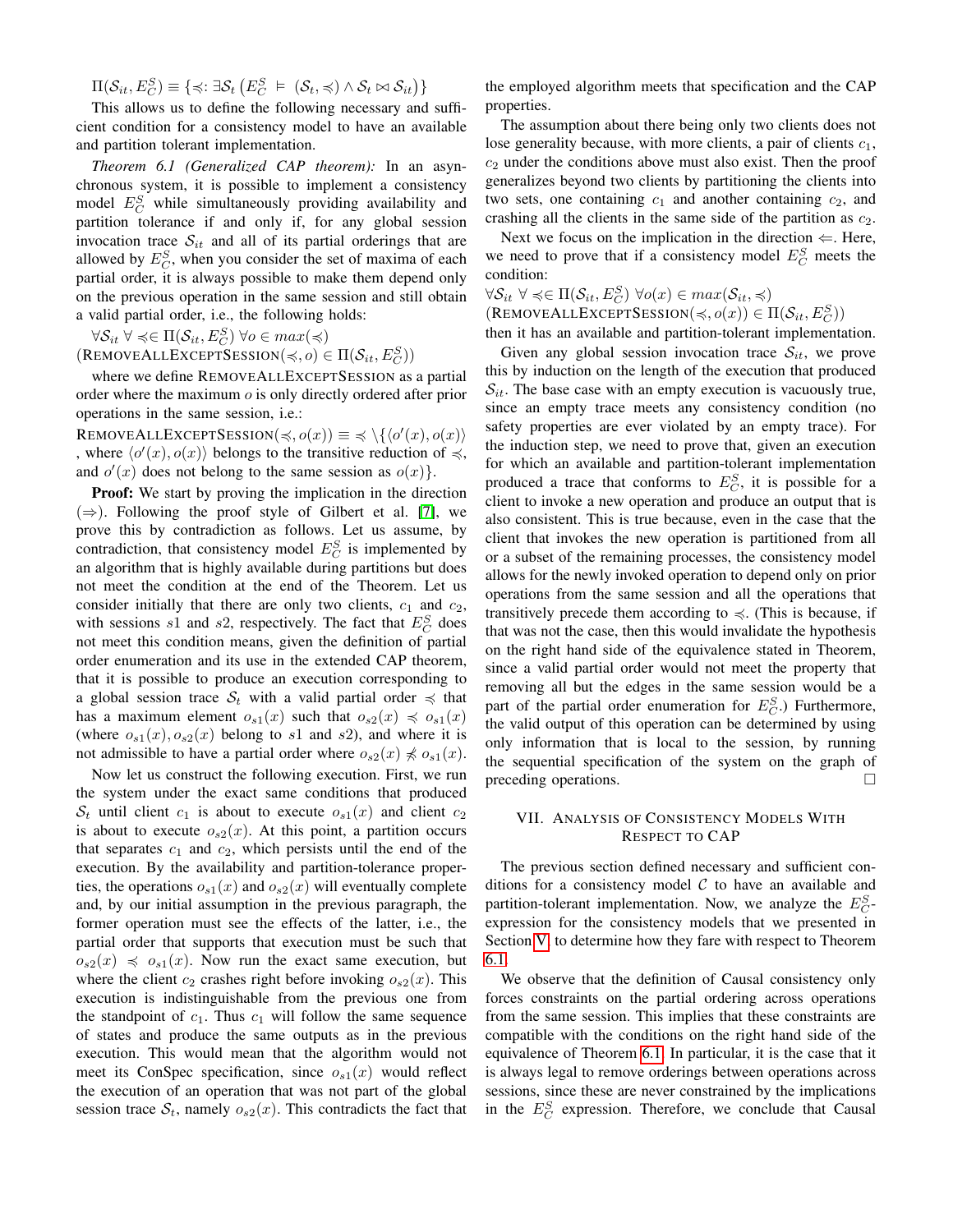$\Pi(\mathcal{S}_{it},E_C^S) \equiv \{\preccurlyeq: \exists \mathcal{S}_t \left(E_C^S \; \vDash \; (\mathcal{S}_t,\preccurlyeq) \land \mathcal{S}_t \bowtie \mathcal{S}_{it}\right)\}$ 

This allows us to define the following necessary and sufficient condition for a consistency model to have an available and partition tolerant implementation.

<span id="page-5-1"></span>*Theorem 6.1 (Generalized CAP theorem):* In an asynchronous system, it is possible to implement a consistency model  $E_C^S$  while simultaneously providing availability and partition tolerance if and only if, for any global session invocation trace  $S_{it}$  and all of its partial orderings that are allowed by  $E_C^S$ , when you consider the set of maxima of each partial order, it is always possible to make them depend only on the previous operation in the same session and still obtain a valid partial order, i.e., the following holds:

 $\forall \mathcal{S}_{it} \ \forall \preccurlyeq \in \Pi(\mathcal{S}_{it}, E_C^S) \ \forall o \in max(\preccurlyeq)$ 

 $(\texttt{REMoveALLException}(\preccurlyeq, o) \in \Pi(\mathcal{S}_{it}, E_C^S))$ 

where we define REMOVEALLEXCEPTSESSION as a partial order where the maximum  $o$  is only directly ordered after prior operations in the same session, i.e.:

REMOVEALLEXCEPTSESSION $(\preccurlyeq, o(x)) \equiv \preccurlyeq \setminus \{ \langle o'(x), o(x) \rangle \}$ , where  $\langle o'(x), o(x) \rangle$  belongs to the transitive reduction of  $\preccurlyeq$ , and  $o'(x)$  does not belong to the same session as  $o(x)$ .

Proof: We start by proving the implication in the direction  $(\Rightarrow)$ . Following the proof style of Gilbert et al. [\[7\]](#page-9-3), we prove this by contradiction as follows. Let us assume, by contradiction, that consistency model  $E_C^S$  is implemented by an algorithm that is highly available during partitions but does not meet the condition at the end of the Theorem. Let us consider initially that there are only two clients,  $c_1$  and  $c_2$ , with sessions  $s1$  and  $s2$ , respectively. The fact that  $E_C^S$  does not meet this condition means, given the definition of partial order enumeration and its use in the extended CAP theorem, that it is possible to produce an execution corresponding to a global session trace  $S_t$  with a valid partial order  $\preccurlyeq$  that has a maximum element  $o_{s1}(x)$  such that  $o_{s2}(x) \preccurlyeq o_{s1}(x)$ (where  $o_{s1}(x), o_{s2}(x)$  belong to s1 and s2), and where it is not admissible to have a partial order where  $o_{s2}(x) \nless o_{s1}(x)$ .

Now let us construct the following execution. First, we run the system under the exact same conditions that produced  $S_t$  until client  $c_1$  is about to execute  $o_{s1}(x)$  and client  $c_2$ is about to execute  $o_{s2}(x)$ . At this point, a partition occurs that separates  $c_1$  and  $c_2$ , which persists until the end of the execution. By the availability and partition-tolerance properties, the operations  $o_{s1}(x)$  and  $o_{s2}(x)$  will eventually complete and, by our initial assumption in the previous paragraph, the former operation must see the effects of the latter, i.e., the partial order that supports that execution must be such that  $o_{s2}(x) \preccurlyeq o_{s1}(x)$ . Now run the exact same execution, but where the client  $c_2$  crashes right before invoking  $o_{s2}(x)$ . This execution is indistinguishable from the previous one from the standpoint of  $c_1$ . Thus  $c_1$  will follow the same sequence of states and produce the same outputs as in the previous execution. This would mean that the algorithm would not meet its ConSpec specification, since  $o_{s1}(x)$  would reflect the execution of an operation that was not part of the global session trace  $S_t$ , namely  $o_{s2}(x)$ . This contradicts the fact that

the employed algorithm meets that specification and the CAP properties.

The assumption about there being only two clients does not lose generality because, with more clients, a pair of clients  $c_1$ ,  $c<sub>2</sub>$  under the conditions above must also exist. Then the proof generalizes beyond two clients by partitioning the clients into two sets, one containing  $c_1$  and another containing  $c_2$ , and crashing all the clients in the same side of the partition as  $c_2$ .

Next we focus on the implication in the direction  $\Leftarrow$ . Here, we need to prove that if a consistency model  $E_C^S$  meets the condition:

 $\forall \mathcal{S}_{it} \ \forall \preccurlyeq \in \Pi(\mathcal{S}_{it}, E_C^S) \ \forall o(x) \in max(\mathcal{S}_{it}, \preccurlyeq)$  $(\texttt{REMoveALLException}(\preccurlyeq, o(x)) \in \Pi(\mathcal{S}_{it}, E_C^S))$ then it has an available and partition-tolerant implementation.

Given any global session invocation trace  $S_{it}$ , we prove this by induction on the length of the execution that produced  $S_{it}$ . The base case with an empty execution is vacuously true, since an empty trace meets any consistency condition (no safety properties are ever violated by an empty trace). For the induction step, we need to prove that, given an execution for which an available and partition-tolerant implementation produced a trace that conforms to  $E_C^S$ , it is possible for a client to invoke a new operation and produce an output that is also consistent. This is true because, even in the case that the client that invokes the new operation is partitioned from all or a subset of the remaining processes, the consistency model allows for the newly invoked operation to depend only on prior operations from the same session and all the operations that transitively precede them according to  $\preccurlyeq$ . (This is because, if that was not the case, then this would invalidate the hypothesis on the right hand side of the equivalence stated in Theorem, since a valid partial order would not meet the property that removing all but the edges in the same session would be a part of the partial order enumeration for  $E_C^S$ .) Furthermore, the valid output of this operation can be determined by using only information that is local to the session, by running the sequential specification of the system on the graph of preceding operations.

## <span id="page-5-0"></span>VII. ANALYSIS OF CONSISTENCY MODELS WITH RESPECT TO CAP

The previous section defined necessary and sufficient conditions for a consistency model  $\mathcal C$  to have an available and partition-tolerant implementation. Now, we analyze the  $E_C^S$ expression for the consistency models that we presented in Section [V,](#page-3-0) to determine how they fare with respect to Theorem [6.1.](#page-5-1)

We observe that the definition of Causal consistency only forces constraints on the partial ordering across operations from the same session. This implies that these constraints are compatible with the conditions on the right hand side of the equivalence of Theorem [6.1.](#page-5-1) In particular, it is the case that it is always legal to remove orderings between operations across sessions, since these are never constrained by the implications in the  $E_C^S$  expression. Therefore, we conclude that Causal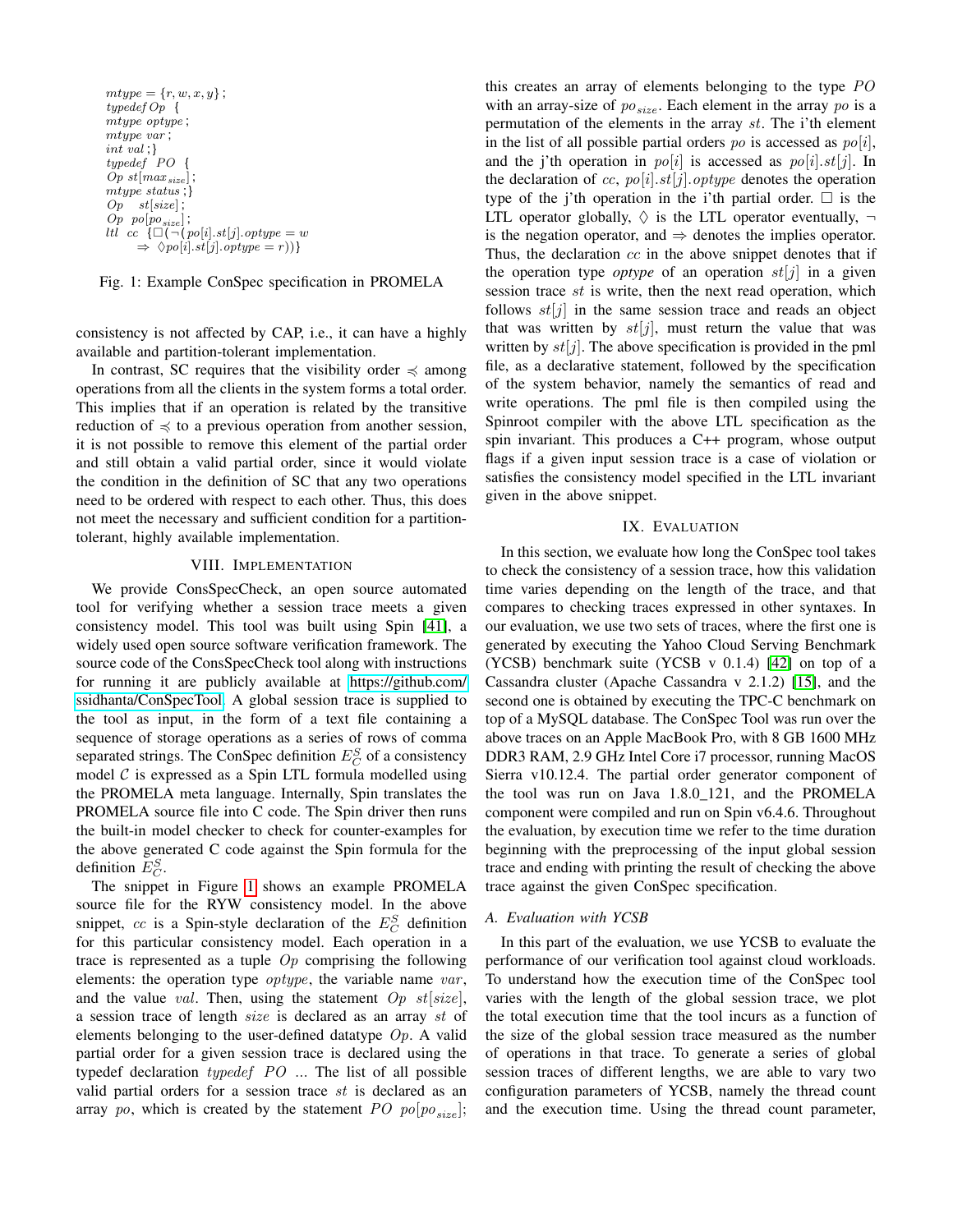```
mtype = \{r, w, x, y\};typedef Op {
mtype optype ;
mtype var ;
int val ; }
typedef PO
Op \ st[max_{size}];
mtype status; }
Op st[size];
Op po[po_{size}];
ltl cc \overline{\{\Box(\neg(\textit{po}[i].st[j].\textit{optype} = w\)}\}\Rightarrow \Diamond po[i].st[j].optype = r))
```
Fig. 1: Example ConSpec specification in PROMELA

consistency is not affected by CAP, i.e., it can have a highly available and partition-tolerant implementation.

In contrast, SC requires that the visibility order  $\preccurlyeq$  among operations from all the clients in the system forms a total order. This implies that if an operation is related by the transitive reduction of  $\preccurlyeq$  to a previous operation from another session, it is not possible to remove this element of the partial order and still obtain a valid partial order, since it would violate the condition in the definition of SC that any two operations need to be ordered with respect to each other. Thus, this does not meet the necessary and sufficient condition for a partitiontolerant, highly available implementation.

#### VIII. IMPLEMENTATION

<span id="page-6-0"></span>We provide ConsSpecCheck, an open source automated tool for verifying whether a session trace meets a given consistency model. This tool was built using Spin [\[41\]](#page-9-37), a widely used open source software verification framework. The source code of the ConsSpecCheck tool along with instructions for running it are publicly available at [https://github.com/](https://github.com/ssidhanta/ConSpecTool) [ssidhanta/ConSpecTool.](https://github.com/ssidhanta/ConSpecTool) A global session trace is supplied to the tool as input, in the form of a text file containing a sequence of storage operations as a series of rows of comma separated strings. The ConSpec definition  $E_C^S$  of a consistency model  $\mathcal C$  is expressed as a Spin LTL formula modelled using the PROMELA meta language. Internally, Spin translates the PROMELA source file into C code. The Spin driver then runs the built-in model checker to check for counter-examples for the above generated C code against the Spin formula for the definition  $E_C^S$ .

The snippet in Figure [1](#page-6-2) shows an example PROMELA source file for the RYW consistency model. In the above snippet,  $cc$  is a Spin-style declaration of the  $E_C^S$  definition for this particular consistency model. Each operation in a trace is represented as a tuple  $Op$  comprising the following elements: the operation type  $\textit{optype}$ , the variable name  $\textit{var}$ , and the value val. Then, using the statement  $Op$  st [size], a session trace of length size is declared as an array st of elements belonging to the user-defined datatype  $Op$ . A valid partial order for a given session trace is declared using the typedef declaration *typedef PO*  $\ldots$  The list of all possible valid partial orders for a session trace st is declared as an array po, which is created by the statement PO  $po[po_{size}]$ ; this creates an array of elements belonging to the type PO with an array-size of  $po_{size}$ . Each element in the array  $po$  is a permutation of the elements in the array  $st$ . The i'th element in the list of all possible partial orders po is accessed as  $po[i]$ , and the j'th operation in  $po[i]$  is accessed as  $po[i].st[j]$ . In the declaration of cc,  $po[i].st[j].optype$  denotes the operation type of the j'th operation in the i'th partial order.  $\Box$  is the LTL operator globally,  $\Diamond$  is the LTL operator eventually,  $\neg$ is the negation operator, and  $\Rightarrow$  denotes the implies operator. Thus, the declaration  $cc$  in the above snippet denotes that if the operation type *optype* of an operation  $st[j]$  in a given session trace st is write, then the next read operation, which follows  $st[i]$  in the same session trace and reads an object that was written by  $st[j]$ , must return the value that was written by  $st[j]$ . The above specification is provided in the pml file, as a declarative statement, followed by the specification of the system behavior, namely the semantics of read and write operations. The pml file is then compiled using the Spinroot compiler with the above LTL specification as the spin invariant. This produces a C++ program, whose output flags if a given input session trace is a case of violation or satisfies the consistency model specified in the LTL invariant given in the above snippet.

#### IX. EVALUATION

<span id="page-6-1"></span>In this section, we evaluate how long the ConSpec tool takes to check the consistency of a session trace, how this validation time varies depending on the length of the trace, and that compares to checking traces expressed in other syntaxes. In our evaluation, we use two sets of traces, where the first one is generated by executing the Yahoo Cloud Serving Benchmark (YCSB) benchmark suite (YCSB v 0.1.4) [\[42\]](#page-9-38) on top of a Cassandra cluster (Apache Cassandra v 2.1.2) [\[15\]](#page-9-11), and the second one is obtained by executing the TPC-C benchmark on top of a MySQL database. The ConSpec Tool was run over the above traces on an Apple MacBook Pro, with 8 GB 1600 MHz DDR3 RAM, 2.9 GHz Intel Core i7 processor, running MacOS Sierra v10.12.4. The partial order generator component of the tool was run on Java 1.8.0\_121, and the PROMELA component were compiled and run on Spin v6.4.6. Throughout the evaluation, by execution time we refer to the time duration beginning with the preprocessing of the input global session trace and ending with printing the result of checking the above trace against the given ConSpec specification.

#### *A. Evaluation with YCSB*

In this part of the evaluation, we use YCSB to evaluate the performance of our verification tool against cloud workloads. To understand how the execution time of the ConSpec tool varies with the length of the global session trace, we plot the total execution time that the tool incurs as a function of the size of the global session trace measured as the number of operations in that trace. To generate a series of global session traces of different lengths, we are able to vary two configuration parameters of YCSB, namely the thread count and the execution time. Using the thread count parameter,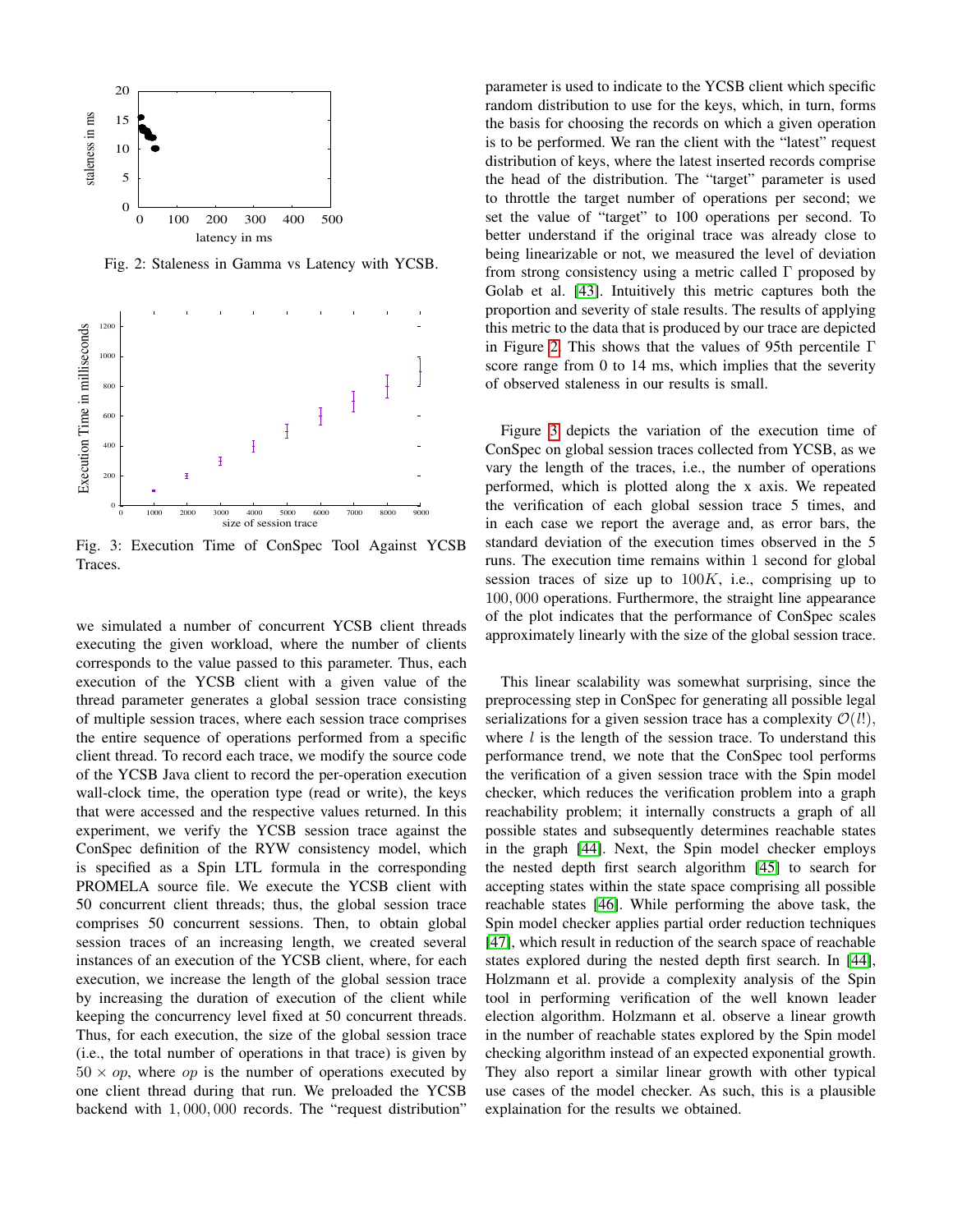<span id="page-7-0"></span>

Fig. 2: Staleness in Gamma vs Latency with YCSB.

<span id="page-7-1"></span>

Fig. 3: Execution Time of ConSpec Tool Against YCSB Traces.

we simulated a number of concurrent YCSB client threads executing the given workload, where the number of clients corresponds to the value passed to this parameter. Thus, each execution of the YCSB client with a given value of the thread parameter generates a global session trace consisting of multiple session traces, where each session trace comprises the entire sequence of operations performed from a specific client thread. To record each trace, we modify the source code of the YCSB Java client to record the per-operation execution wall-clock time, the operation type (read or write), the keys that were accessed and the respective values returned. In this experiment, we verify the YCSB session trace against the ConSpec definition of the RYW consistency model, which is specified as a Spin LTL formula in the corresponding PROMELA source file. We execute the YCSB client with 50 concurrent client threads; thus, the global session trace comprises 50 concurrent sessions. Then, to obtain global session traces of an increasing length, we created several instances of an execution of the YCSB client, where, for each execution, we increase the length of the global session trace by increasing the duration of execution of the client while keeping the concurrency level fixed at 50 concurrent threads. Thus, for each execution, the size of the global session trace (i.e., the total number of operations in that trace) is given by  $50 \times op$ , where *op* is the number of operations executed by one client thread during that run. We preloaded the YCSB backend with 1, 000, 000 records. The "request distribution"

parameter is used to indicate to the YCSB client which specific random distribution to use for the keys, which, in turn, forms the basis for choosing the records on which a given operation is to be performed. We ran the client with the "latest" request distribution of keys, where the latest inserted records comprise the head of the distribution. The "target" parameter is used to throttle the target number of operations per second; we set the value of "target" to 100 operations per second. To better understand if the original trace was already close to being linearizable or not, we measured the level of deviation from strong consistency using a metric called Γ proposed by Golab et al. [\[43\]](#page-9-39). Intuitively this metric captures both the proportion and severity of stale results. The results of applying this metric to the data that is produced by our trace are depicted in Figure [2.](#page-7-0) This shows that the values of 95th percentile  $\Gamma$ score range from 0 to 14 ms, which implies that the severity of observed staleness in our results is small.

Figure [3](#page-7-1) depicts the variation of the execution time of ConSpec on global session traces collected from YCSB, as we vary the length of the traces, i.e., the number of operations performed, which is plotted along the x axis. We repeated the verification of each global session trace 5 times, and in each case we report the average and, as error bars, the standard deviation of the execution times observed in the 5 runs. The execution time remains within 1 second for global session traces of size up to  $100K$ , i.e., comprising up to 100, 000 operations. Furthermore, the straight line appearance of the plot indicates that the performance of ConSpec scales approximately linearly with the size of the global session trace.

This linear scalability was somewhat surprising, since the preprocessing step in ConSpec for generating all possible legal serializations for a given session trace has a complexity  $\mathcal{O}(l!)$ , where  $l$  is the length of the session trace. To understand this performance trend, we note that the ConSpec tool performs the verification of a given session trace with the Spin model checker, which reduces the verification problem into a graph reachability problem; it internally constructs a graph of all possible states and subsequently determines reachable states in the graph [\[44\]](#page-9-40). Next, the Spin model checker employs the nested depth first search algorithm [\[45\]](#page-9-41) to search for accepting states within the state space comprising all possible reachable states [\[46\]](#page-9-42). While performing the above task, the Spin model checker applies partial order reduction techniques [\[47\]](#page-9-43), which result in reduction of the search space of reachable states explored during the nested depth first search. In [\[44\]](#page-9-40), Holzmann et al. provide a complexity analysis of the Spin tool in performing verification of the well known leader election algorithm. Holzmann et al. observe a linear growth in the number of reachable states explored by the Spin model checking algorithm instead of an expected exponential growth. They also report a similar linear growth with other typical use cases of the model checker. As such, this is a plausible explaination for the results we obtained.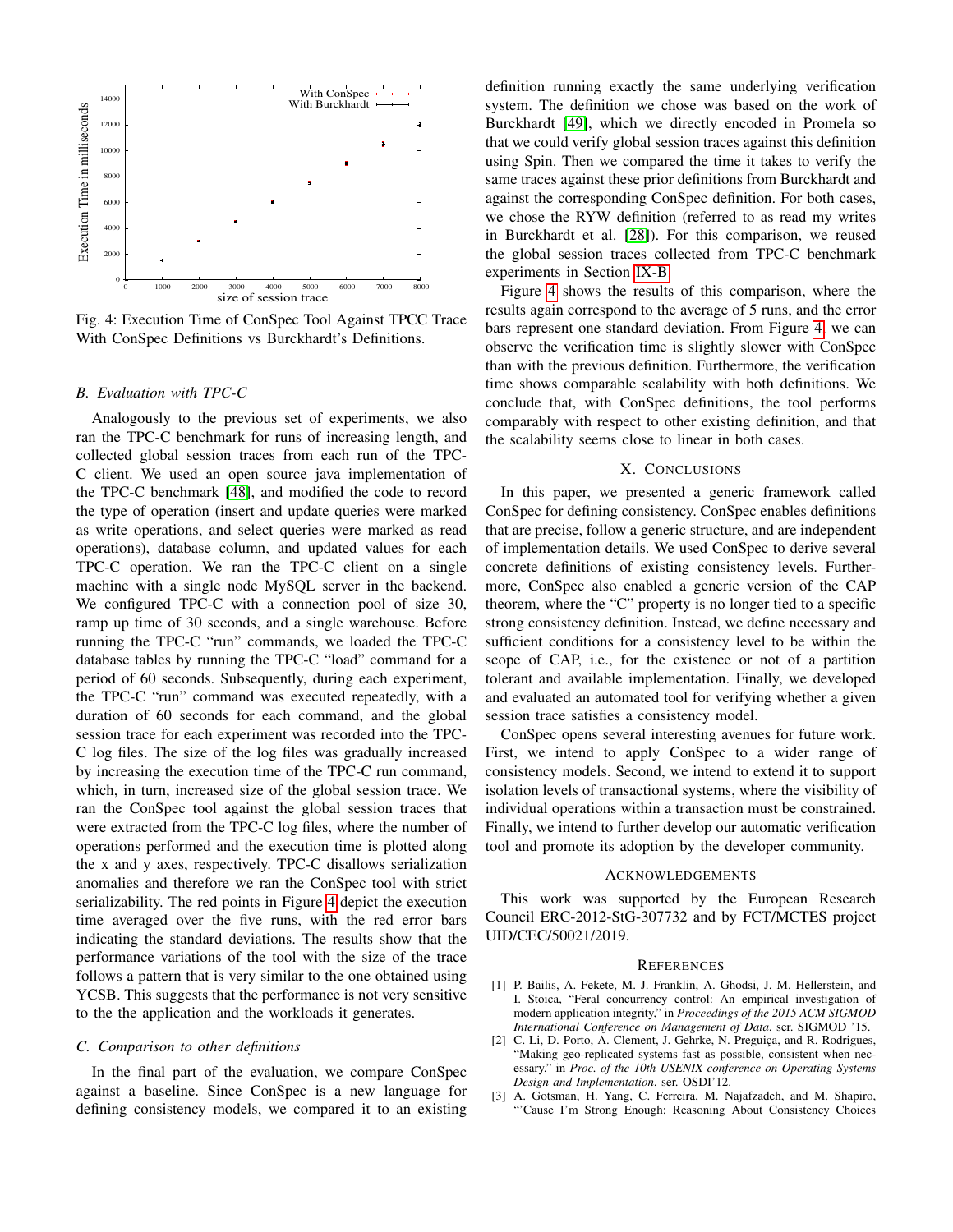<span id="page-8-3"></span>

Fig. 4: Execution Time of ConSpec Tool Against TPCC Trace With ConSpec Definitions vs Burckhardt's Definitions.

#### <span id="page-8-4"></span>*B. Evaluation with TPC-C*

Analogously to the previous set of experiments, we also ran the TPC-C benchmark for runs of increasing length, and collected global session traces from each run of the TPC-C client. We used an open source java implementation of the TPC-C benchmark [\[48\]](#page-9-44), and modified the code to record the type of operation (insert and update queries were marked as write operations, and select queries were marked as read operations), database column, and updated values for each TPC-C operation. We ran the TPC-C client on a single machine with a single node MySQL server in the backend. We configured TPC-C with a connection pool of size 30, ramp up time of 30 seconds, and a single warehouse. Before running the TPC-C "run" commands, we loaded the TPC-C database tables by running the TPC-C "load" command for a period of 60 seconds. Subsequently, during each experiment, the TPC-C "run" command was executed repeatedly, with a duration of 60 seconds for each command, and the global session trace for each experiment was recorded into the TPC-C log files. The size of the log files was gradually increased by increasing the execution time of the TPC-C run command, which, in turn, increased size of the global session trace. We ran the ConSpec tool against the global session traces that were extracted from the TPC-C log files, where the number of operations performed and the execution time is plotted along the x and y axes, respectively. TPC-C disallows serialization anomalies and therefore we ran the ConSpec tool with strict serializability. The red points in Figure [4](#page-8-3) depict the execution time averaged over the five runs, with the red error bars indicating the standard deviations. The results show that the performance variations of the tool with the size of the trace follows a pattern that is very similar to the one obtained using YCSB. This suggests that the performance is not very sensitive to the the application and the workloads it generates.

#### *C. Comparison to other definitions*

In the final part of the evaluation, we compare ConSpec against a baseline. Since ConSpec is a new language for defining consistency models, we compared it to an existing

definition running exactly the same underlying verification system. The definition we chose was based on the work of Burckhardt [\[49\]](#page-9-45), which we directly encoded in Promela so that we could verify global session traces against this definition using Spin. Then we compared the time it takes to verify the same traces against these prior definitions from Burckhardt and against the corresponding ConSpec definition. For both cases, we chose the RYW definition (referred to as read my writes in Burckhardt et al. [\[28\]](#page-9-24)). For this comparison, we reused the global session traces collected from TPC-C benchmark experiments in Section [IX-B.](#page-8-4)

Figure [4](#page-8-3) shows the results of this comparison, where the results again correspond to the average of 5 runs, and the error bars represent one standard deviation. From Figure [4,](#page-8-3) we can observe the verification time is slightly slower with ConSpec than with the previous definition. Furthermore, the verification time shows comparable scalability with both definitions. We conclude that, with ConSpec definitions, the tool performs comparably with respect to other existing definition, and that the scalability seems close to linear in both cases.

### X. CONCLUSIONS

In this paper, we presented a generic framework called ConSpec for defining consistency. ConSpec enables definitions that are precise, follow a generic structure, and are independent of implementation details. We used ConSpec to derive several concrete definitions of existing consistency levels. Furthermore, ConSpec also enabled a generic version of the CAP theorem, where the "C" property is no longer tied to a specific strong consistency definition. Instead, we define necessary and sufficient conditions for a consistency level to be within the scope of CAP, i.e., for the existence or not of a partition tolerant and available implementation. Finally, we developed and evaluated an automated tool for verifying whether a given session trace satisfies a consistency model.

ConSpec opens several interesting avenues for future work. First, we intend to apply ConSpec to a wider range of consistency models. Second, we intend to extend it to support isolation levels of transactional systems, where the visibility of individual operations within a transaction must be constrained. Finally, we intend to further develop our automatic verification tool and promote its adoption by the developer community.

#### ACKNOWLEDGEMENTS

This work was supported by the European Research Council ERC-2012-StG-307732 and by FCT/MCTES project UID/CEC/50021/2019.

#### **REFERENCES**

- <span id="page-8-0"></span>[1] P. Bailis, A. Fekete, M. J. Franklin, A. Ghodsi, J. M. Hellerstein, and I. Stoica, "Feral concurrency control: An empirical investigation of modern application integrity," in *Proceedings of the 2015 ACM SIGMOD International Conference on Management of Data*, ser. SIGMOD '15.
- <span id="page-8-1"></span>[2] C. Li, D. Porto, A. Clement, J. Gehrke, N. Preguiça, and R. Rodrigues, "Making geo-replicated systems fast as possible, consistent when necessary," in *Proc. of the 10th USENIX conference on Operating Systems Design and Implementation*, ser. OSDI'12.
- <span id="page-8-2"></span>[3] A. Gotsman, H. Yang, C. Ferreira, M. Najafzadeh, and M. Shapiro, "'Cause I'm Strong Enough: Reasoning About Consistency Choices